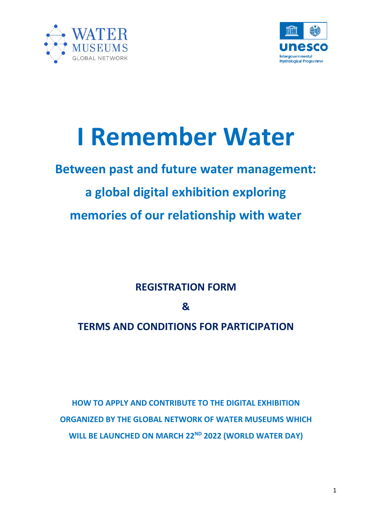



# **I Remember Water**

## **Between past and future water management: a global digital exhibition exploring memories of our relationship with water**

**REGISTRATION FORM**

**&**

### **TERMS AND CONDITIONS FOR PARTICIPATION**

**HOW TO APPLY AND CONTRIBUTE TO THE DIGITAL EXHIBITION ORGANIZED BY THE GLOBAL NETWORK OF WATER MUSEUMS WHICH WILL BE LAUNCHED ON MARCH 22ND 2022 (WORLD WATER DAY)**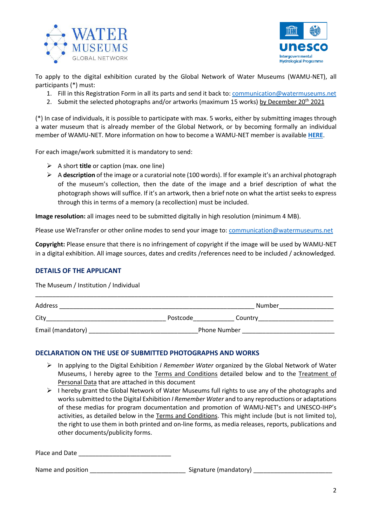



To apply to the digital exhibition curated by the Global Network of Water Museums (WAMU-NET), all participants (\*) must:

- 1. Fill in this Registration Form in all its parts and send it back to[: communication@watermuseums.net](mailto:communication@watermuseums.net)
- 2. Submit the selected photographs and/or artworks (maximum 15 works) by December  $20^{th}$  2021

(\*) In case of individuals, it is possible to participate with max. 5 works, either by submitting images through a water museum that is already member of the Global Network, or by becoming formally an individual member of WAMU-NET. More information on how to become a WAMU-NET member is available **[HERE](https://www.watermuseums.net/contacts/)**.

For each image/work submitted it is mandatory to send:

- ➢ A short **title** or caption (max. one line)
- ➢ A **description** of the image or a curatorial note (100 words). If for example it's an archival photograph of the museum's collection, then the date of the image and a brief description of what the photograph shows will suffice. If it's an artwork, then a brief note on what the artist seeks to express through this in terms of a memory (a recollection) must be included.

**Image resolution:** all images need to be submitted digitally in high resolution (minimum 4 MB).

Please use WeTransfer or other online modes to send your image to: [communication@watermuseums.net](mailto:communication@watermuseums.net)

**Copyright:** Please ensure that there is no infringement of copyright if the image will be used by WAMU-NET in a digital exhibition. All image sources, dates and credits /references need to be included / acknowledged.

#### **DETAILS OF THE APPLICANT**

The Museum / Institution / Individual

| Address           |              | Number  |
|-------------------|--------------|---------|
| City              | Postcode     | Country |
| Email (mandatory) | Phone Number |         |

\_\_\_\_\_\_\_\_\_\_\_\_\_\_\_\_\_\_\_\_\_\_\_\_\_\_\_\_\_\_\_\_\_\_\_\_\_\_\_\_\_\_\_\_\_\_\_\_\_\_\_\_\_\_\_\_\_\_\_\_\_\_\_\_\_\_\_\_\_\_\_\_\_\_\_\_\_\_\_\_\_\_\_\_\_\_\_

#### **DECLARATION ON THE USE OF SUBMITTED PHOTOGRAPHS AND WORKS**

- ➢ In applying to the Digital Exhibition *I Remember Water* organized by the Global Network of Water Museums, I hereby agree to the Terms and Conditions detailed below and to the Treatment of Personal Data that are attached in this document
- $\triangleright$  I hereby grant the Global Network of Water Museums full rights to use any of the photographs and works submitted to the Digital Exhibition *I Remember Water* and to any reproductions or adaptations of these medias for program documentation and promotion of WAMU-NET's and UNESCO-IHP's activities, as detailed below in the Terms and Conditions. This might include (but is not limited to), the right to use them in both printed and on-line forms, as media releases, reports, publications and other documents/publicity forms.

Place and Date \_\_\_\_

Name and position the contraction of the signature (mandatory)  $\sim$  Signature (mandatory)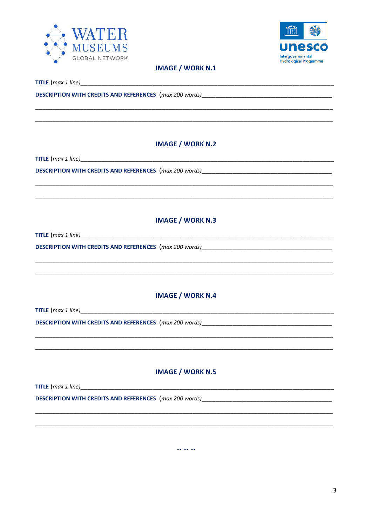



#### **IMAGE / WORK N.1**

**TITLE**  $(max 1 line)$ 

**DESCRIPTION WITH CREDITS AND REFERENCES** (max 200 words)

#### **IMAGE / WORK N.2**

 $TITLE (max 1 line)$ 

**DESCRIPTION WITH CREDITS AND REFERENCES** (max 200 words)

#### **IMAGE / WORK N.3**

TITLE  $(max 1 line)$ 

DESCRIPTION WITH CREDITS AND REFERENCES (max 200 words)\_\_\_\_\_\_\_\_\_\_\_\_\_\_\_\_\_\_\_\_\_\_\_\_\_\_

#### **IMAGE / WORK N.4**

#### **IMAGE / WORK N.5**

**TITLE**  $(max 1 line)$ DESCRIPTION WITH CREDITS AND REFERENCES (max 200 words)

 $\overline{1}$  and  $\overline{1}$  and  $\overline{1}$